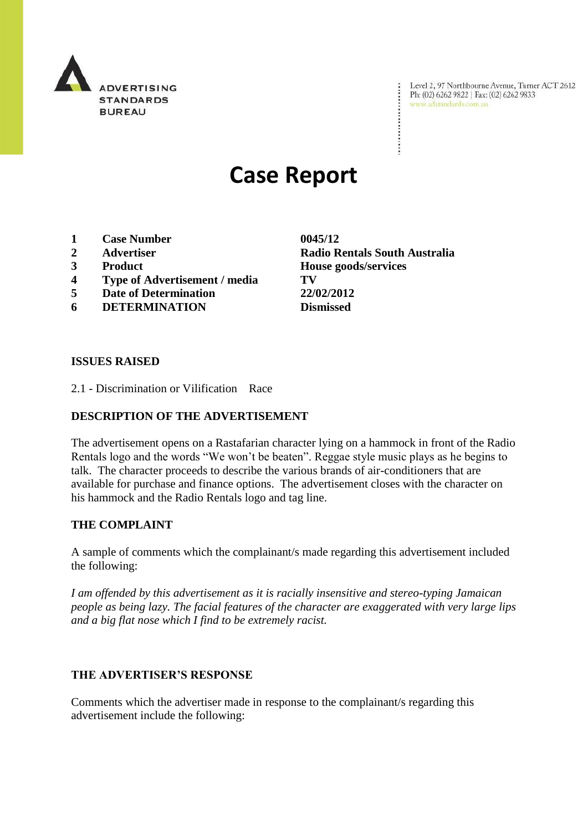

Level 2, 97 Northbourne Avenue, Turner ACT 2612<br>Ph: (02) 6262 9822 | Fax: (02) 6262 9833<br>www.adstandards.com.au

# **Case Report**

- **1 Case Number 0045/12**
- 
- 
- **4 Type of Advertisement / media TV**
- **5 Date of Determination 22/02/2012**
- **6 DETERMINATION Dismissed**

**ISSUES RAISED**

2.1 - Discrimination or Vilification Race

# **DESCRIPTION OF THE ADVERTISEMENT**

The advertisement opens on a Rastafarian character lying on a hammock in front of the Radio Rentals logo and the words "We won't be beaten". Reggae style music plays as he begins to talk. The character proceeds to describe the various brands of air-conditioners that are available for purchase and finance options. The advertisement closes with the character on his hammock and the Radio Rentals logo and tag line.

### **THE COMPLAINT**

A sample of comments which the complainant/s made regarding this advertisement included the following:

*I am offended by this advertisement as it is racially insensitive and stereo-typing Jamaican people as being lazy. The facial features of the character are exaggerated with very large lips and a big flat nose which I find to be extremely racist.*

# **THE ADVERTISER'S RESPONSE**

Comments which the advertiser made in response to the complainant/s regarding this advertisement include the following:

**2 Advertiser Radio Rentals South Australia 3 Product House goods/services**

÷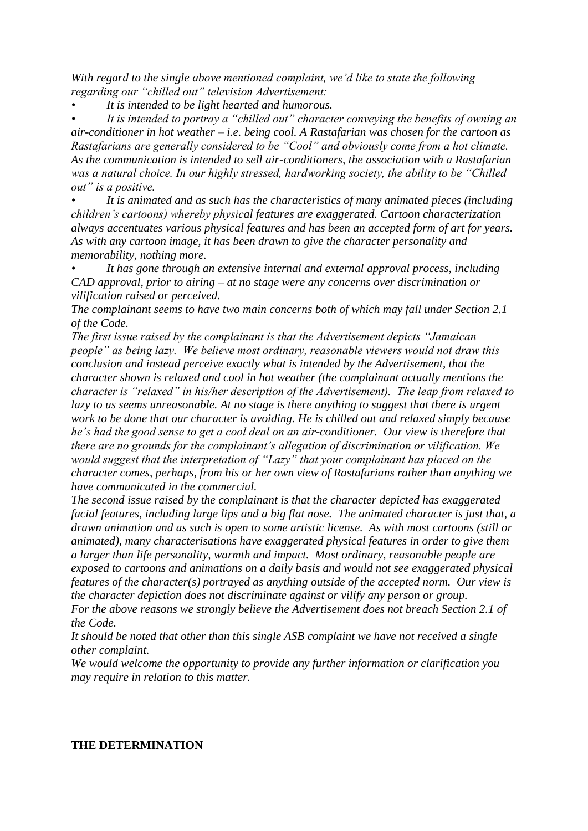*With regard to the single above mentioned complaint, we'd like to state the following regarding our "chilled out" television Advertisement:*

*• It is intended to be light hearted and humorous.*

*• It is intended to portray a "chilled out" character conveying the benefits of owning an air-conditioner in hot weather – i.e. being cool. A Rastafarian was chosen for the cartoon as Rastafarians are generally considered to be "Cool" and obviously come from a hot climate. As the communication is intended to sell air-conditioners, the association with a Rastafarian was a natural choice. In our highly stressed, hardworking society, the ability to be "Chilled out" is a positive.*

*• It is animated and as such has the characteristics of many animated pieces (including children's cartoons) whereby physical features are exaggerated. Cartoon characterization always accentuates various physical features and has been an accepted form of art for years. As with any cartoon image, it has been drawn to give the character personality and memorability, nothing more.*

*• It has gone through an extensive internal and external approval process, including CAD approval, prior to airing – at no stage were any concerns over discrimination or vilification raised or perceived.*

*The complainant seems to have two main concerns both of which may fall under Section 2.1 of the Code.*

*The first issue raised by the complainant is that the Advertisement depicts "Jamaican people" as being lazy. We believe most ordinary, reasonable viewers would not draw this conclusion and instead perceive exactly what is intended by the Advertisement, that the character shown is relaxed and cool in hot weather (the complainant actually mentions the character is "relaxed" in his/her description of the Advertisement). The leap from relaxed to lazy to us seems unreasonable. At no stage is there anything to suggest that there is urgent work to be done that our character is avoiding. He is chilled out and relaxed simply because he's had the good sense to get a cool deal on an air-conditioner. Our view is therefore that there are no grounds for the complainant's allegation of discrimination or vilification. We would suggest that the interpretation of "Lazy" that your complainant has placed on the character comes, perhaps, from his or her own view of Rastafarians rather than anything we have communicated in the commercial.*

*The second issue raised by the complainant is that the character depicted has exaggerated facial features, including large lips and a big flat nose. The animated character is just that, a drawn animation and as such is open to some artistic license. As with most cartoons (still or animated), many characterisations have exaggerated physical features in order to give them a larger than life personality, warmth and impact. Most ordinary, reasonable people are exposed to cartoons and animations on a daily basis and would not see exaggerated physical features of the character(s) portrayed as anything outside of the accepted norm. Our view is the character depiction does not discriminate against or vilify any person or group. For the above reasons we strongly believe the Advertisement does not breach Section 2.1 of* 

*the Code.*

*It should be noted that other than this single ASB complaint we have not received a single other complaint.* 

*We would welcome the opportunity to provide any further information or clarification you may require in relation to this matter.*

### **THE DETERMINATION**